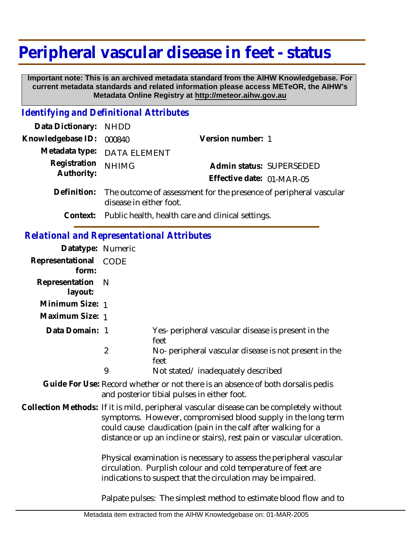# **Peripheral vascular disease in feet - status**

 **Important note: This is an archived metadata standard from the AIHW Knowledgebase. For current metadata standards and related information please access METeOR, the AIHW's Metadata Online Registry at http://meteor.aihw.gov.au**

### *Identifying and Definitional Attributes*

| Data Dictionary:                                  | <b>NHDD</b>             |                                                                   |
|---------------------------------------------------|-------------------------|-------------------------------------------------------------------|
| Knowledgebase ID:                                 | 000840                  | Version number: 1                                                 |
| Metadata type:                                    | <b>DATA ELEMENT</b>     |                                                                   |
| Registration<br>Authority:                        | <b>NHIMG</b>            | Admin status: SUPERSEDED                                          |
|                                                   |                         | Effective date: 01-MAR-05                                         |
| Definition:                                       | disease in either foot. | The outcome of assessment for the presence of peripheral vascular |
| Context:                                          |                         | Public health, health care and clinical settings.                 |
| <b>Relational and Representational Attributes</b> |                         |                                                                   |
| Datatype: Numeric                                 |                         |                                                                   |
| Representational<br>form:                         | <b>CODE</b>             |                                                                   |
| Representation<br>layout:                         | $\mathbb N$             |                                                                   |
| Minimum Size: 1                                   |                         |                                                                   |
| Maximum Size: 1                                   |                         |                                                                   |
| Data Domain: 1                                    |                         | Yes- peripheral vascular disease is present in the<br>feet        |
|                                                   | $\overline{2}$          | No- peripheral vascular disease is not present in the<br>feet     |
|                                                   | 9                       | Not stated/inadequately described                                 |

Guide For Use: Record whether or not there is an absence of both dorsalis pedis and posterior tibial pulses in either foot.

#### Collection Methods: If it is mild, peripheral vascular disease can be completely without symptoms. However, compromised blood supply in the long term could cause claudication (pain in the calf after walking for a distance or up an incline or stairs), rest pain or vascular ulceration.

Physical examination is necessary to assess the peripheral vascular circulation. Purplish colour and cold temperature of feet are indications to suspect that the circulation may be impaired.

Palpate pulses: The simplest method to estimate blood flow and to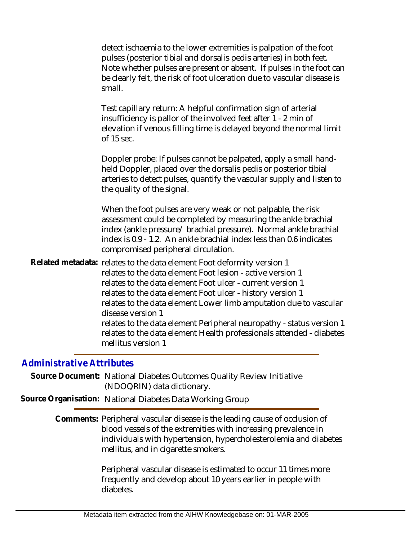|                          | detect ischaemia to the lower extremities is palpation of the foot<br>pulses (posterior tibial and dorsalis pedis arteries) in both feet.<br>Note whether pulses are present or absent. If pulses in the foot can<br>be clearly felt, the risk of foot ulceration due to vascular disease is<br>small.                                                     |
|--------------------------|------------------------------------------------------------------------------------------------------------------------------------------------------------------------------------------------------------------------------------------------------------------------------------------------------------------------------------------------------------|
|                          | Test capillary return: A helpful confirmation sign of arterial<br>insufficiency is pallor of the involved feet after 1 - 2 min of<br>elevation if venous filling time is delayed beyond the normal limit<br>of 15 sec.                                                                                                                                     |
|                          | Doppler probe: If pulses cannot be palpated, apply a small hand-<br>held Doppler, placed over the dorsalis pedis or posterior tibial<br>arteries to detect pulses, quantify the vascular supply and listen to<br>the quality of the signal.                                                                                                                |
|                          | When the foot pulses are very weak or not palpable, the risk<br>assessment could be completed by measuring the ankle brachial<br>index (ankle pressure/ brachial pressure). Normal ankle brachial<br>index is 0.9 - 1.2. An ankle brachial index less than 0.6 indicates<br>compromised peripheral circulation.                                            |
|                          | Related metadata: relates to the data element Foot deformity version 1<br>relates to the data element Foot lesion - active version 1<br>relates to the data element Foot ulcer - current version 1<br>relates to the data element Foot ulcer - history version 1<br>relates to the data element Lower limb amputation due to vascular<br>disease version 1 |
|                          | relates to the data element Peripheral neuropathy - status version 1<br>relates to the data element Health professionals attended - diabetes<br>mellitus version 1                                                                                                                                                                                         |
| dministrative Attributes |                                                                                                                                                                                                                                                                                                                                                            |

## *Administrative Attributes*

Source Document: National Diabetes Outcomes Quality Review Initiative (NDOQRIN) data dictionary.

**Source Organisation:** National Diabetes Data Working Group

Comments: Peripheral vascular disease is the leading cause of occlusion of blood vessels of the extremities with increasing prevalence in individuals with hypertension, hypercholesterolemia and diabetes mellitus, and in cigarette smokers.

> Peripheral vascular disease is estimated to occur 11 times more frequently and develop about 10 years earlier in people with diabetes.